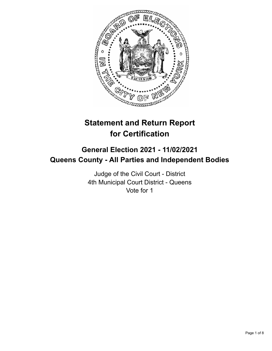

# **Statement and Return Report for Certification**

# **General Election 2021 - 11/02/2021 Queens County - All Parties and Independent Bodies**

Judge of the Civil Court - District 4th Municipal Court District - Queens Vote for 1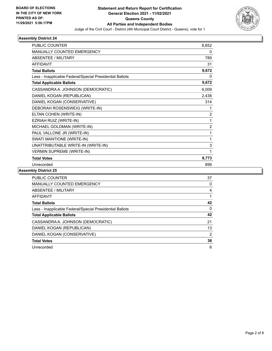

| <b>PUBLIC COUNTER</b>                                    | 8,852          |
|----------------------------------------------------------|----------------|
| <b>MANUALLY COUNTED EMERGENCY</b>                        | 0              |
| <b>ABSENTEE / MILITARY</b>                               | 789            |
| <b>AFFIDAVIT</b>                                         | 31             |
| <b>Total Ballots</b>                                     | 9,672          |
| Less - Inapplicable Federal/Special Presidential Ballots | 0              |
| <b>Total Applicable Ballots</b>                          | 9,672          |
| CASSANDRA A. JOHNSON (DEMOCRATIC)                        | 6,009          |
| DANIEL KOGAN (REPUBLICAN)                                | 2,438          |
| DANIEL KOGAN (CONSERVATIVE)                              | 314            |
| DEBORAH ROSENSWEIG (WRITE-IN)                            | 1              |
| ELTAN COHEN (WRITE-IN)                                   | $\overline{2}$ |
| EZRIAH RUIZ (WRITE-IN)                                   | 1              |
| MICHAEL GOLDMAN (WRITE-IN)                               | $\overline{2}$ |
| PAUL VALLONE JR (WRITE-IN)                               | 1              |
| SWATI MANTIONE (WRITE-IN)                                | 1              |
| UNATTRIBUTABLE WRITE-IN (WRITE-IN)                       | 3              |
| <b>VERMIN SUPREME (WRITE-IN)</b>                         | 1              |
| <b>Total Votes</b>                                       | 8,773          |
| Unrecorded                                               | 899            |

| <b>PUBLIC COUNTER</b>                                    | 37 |
|----------------------------------------------------------|----|
| <b>MANUALLY COUNTED EMERGENCY</b>                        | 0  |
| ABSENTEE / MILITARY                                      | 4  |
| AFFIDAVIT                                                |    |
| <b>Total Ballots</b>                                     | 42 |
| Less - Inapplicable Federal/Special Presidential Ballots | 0  |
| <b>Total Applicable Ballots</b>                          | 42 |
| CASSANDRA A. JOHNSON (DEMOCRATIC)                        | 21 |
| DANIEL KOGAN (REPUBLICAN)                                | 13 |
| DANIEL KOGAN (CONSERVATIVE)                              | 2  |
| <b>Total Votes</b>                                       | 36 |
| Unrecorded                                               | 6  |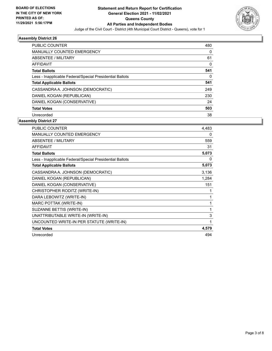

| <b>PUBLIC COUNTER</b>                                    | 480      |
|----------------------------------------------------------|----------|
| <b>MANUALLY COUNTED EMERGENCY</b>                        | 0        |
| ABSENTEE / MILITARY                                      | 61       |
| AFFIDAVIT                                                | 0        |
| <b>Total Ballots</b>                                     | 541      |
| Less - Inapplicable Federal/Special Presidential Ballots | $\Omega$ |
| <b>Total Applicable Ballots</b>                          | 541      |
| CASSANDRA A. JOHNSON (DEMOCRATIC)                        | 249      |
| DANIEL KOGAN (REPUBLICAN)                                | 230      |
| DANIEL KOGAN (CONSERVATIVE)                              | 24       |
| <b>Total Votes</b>                                       | 503      |
| Unrecorded                                               | 38       |

| <b>PUBLIC COUNTER</b>                                    | 4,483 |
|----------------------------------------------------------|-------|
| <b>MANUALLY COUNTED EMERGENCY</b>                        | 0     |
| ABSENTEE / MILITARY                                      | 559   |
| <b>AFFIDAVIT</b>                                         | 31    |
| <b>Total Ballots</b>                                     | 5,073 |
| Less - Inapplicable Federal/Special Presidential Ballots | 0     |
| <b>Total Applicable Ballots</b>                          | 5,073 |
| CASSANDRA A. JOHNSON (DEMOCRATIC)                        | 3,136 |
| DANIEL KOGAN (REPUBLICAN)                                | 1,284 |
| DANIEL KOGAN (CONSERVATIVE)                              | 151   |
| CHRISTOPHER RODITZ (WRITE-IN)                            | 1     |
| DARA LEBOWITZ (WRITE-IN)                                 | 1     |
| MARC POTTAK (WRITE-IN)                                   | 1     |
| SUZANNE BETTIS (WRITE-IN)                                | 1     |
| UNATTRIBUTABLE WRITE-IN (WRITE-IN)                       | 3     |
| UNCOUNTED WRITE-IN PER STATUTE (WRITE-IN)                | 1     |
| <b>Total Votes</b>                                       | 4,579 |
| Unrecorded                                               | 494   |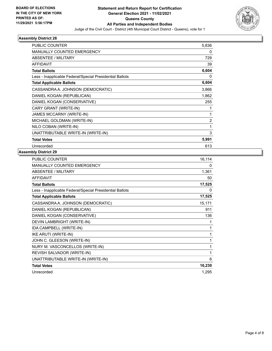

| PUBLIC COUNTER                                           |                |
|----------------------------------------------------------|----------------|
|                                                          | 5,836          |
| <b>MANUALLY COUNTED EMERGENCY</b>                        | 0              |
| ABSENTEE / MILITARY                                      | 729            |
| <b>AFFIDAVIT</b>                                         | 39             |
| <b>Total Ballots</b>                                     | 6,604          |
| Less - Inapplicable Federal/Special Presidential Ballots | 0              |
| <b>Total Applicable Ballots</b>                          | 6,604          |
| CASSANDRA A. JOHNSON (DEMOCRATIC)                        | 3,866          |
| DANIEL KOGAN (REPUBLICAN)                                | 1,862          |
| DANIEL KOGAN (CONSERVATIVE)                              | 255            |
| CARY GRANT (WRITE-IN)                                    | 1              |
| JAMES MCCARNY (WRITE-IN)                                 | 1              |
| MICHAEL GOLDMAN (WRITE-IN)                               | $\overline{2}$ |
| NILO COBAN (WRITE-IN)                                    | 1              |
| UNATTRIBUTABLE WRITE-IN (WRITE-IN)                       | 3              |
| <b>Total Votes</b>                                       | 5,991          |
| Unrecorded                                               | 613            |

| <b>PUBLIC COUNTER</b>                                    | 16,114 |
|----------------------------------------------------------|--------|
| <b>MANUALLY COUNTED EMERGENCY</b>                        | 0      |
| ABSENTEE / MILITARY                                      | 1,361  |
| <b>AFFIDAVIT</b>                                         | 50     |
| <b>Total Ballots</b>                                     | 17,525 |
| Less - Inapplicable Federal/Special Presidential Ballots | 0      |
| <b>Total Applicable Ballots</b>                          | 17,525 |
| CASSANDRA A. JOHNSON (DEMOCRATIC)                        | 15,171 |
| DANIEL KOGAN (REPUBLICAN)                                | 911    |
| DANIEL KOGAN (CONSERVATIVE)                              | 136    |
| DEVIN LAMBRIGHT (WRITE-IN)                               | 1      |
| IDA CAMPBELL (WRITE-IN)                                  | 1      |
| IKE ARUTI (WRITE-IN)                                     | 1      |
| JOHN C. GLEESON (WRITE-IN)                               | 1      |
| NURY M. VASCONCELLOS (WRITE-IN)                          | 1      |
| REVISH SALVADOR (WRITE-IN)                               | 1      |
| UNATTRIBUTABLE WRITE-IN (WRITE-IN)                       | 6      |
| <b>Total Votes</b>                                       | 16,230 |
| Unrecorded                                               | 1,295  |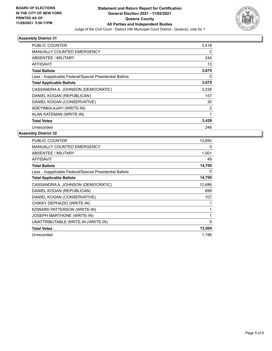

| <b>PUBLIC COUNTER</b>                                    | 3,418 |
|----------------------------------------------------------|-------|
| MANUALLY COUNTED EMERGENCY                               | 0     |
| ABSENTEE / MILITARY                                      | 244   |
| <b>AFFIDAVIT</b>                                         | 13    |
| <b>Total Ballots</b>                                     | 3,675 |
| Less - Inapplicable Federal/Special Presidential Ballots | 0     |
| <b>Total Applicable Ballots</b>                          | 3,675 |
| CASSANDRA A. JOHNSON (DEMOCRATIC)                        | 3,239 |
| DANIEL KOGAN (REPUBLICAN)                                | 157   |
| DANIEL KOGAN (CONSERVATIVE)                              | 30    |
| ADEYINKA AJAYI (WRITE-IN)                                | 2     |
| ALAN KATEMAN (WRITE-IN)                                  | 1     |
| <b>Total Votes</b>                                       | 3,429 |
| Unrecorded                                               | 246   |

| PUBLIC COUNTER                                           | 13,650 |
|----------------------------------------------------------|--------|
| <b>MANUALLY COUNTED EMERGENCY</b>                        | 0      |
| <b>ABSENTEE / MILITARY</b>                               | 1,001  |
| <b>AFFIDAVIT</b>                                         | 49     |
| <b>Total Ballots</b>                                     | 14,700 |
| Less - Inapplicable Federal/Special Presidential Ballots | 0      |
| <b>Total Applicable Ballots</b>                          | 14,700 |
| CASSANDRA A. JOHNSON (DEMOCRATIC)                        | 12,686 |
| DANIEL KOGAN (REPUBLICAN)                                | 699    |
| DANIEL KOGAN (CONSERVATIVE)                              | 107    |
| CHIKKY DEPHAZIO (WRITE-IN)                               |        |
| EDWARD PATTERSON (WRITE-IN)                              |        |
| JOSEPH MARTHONE (WRITE-IN)                               | 1      |
| UNATTRIBUTABLE WRITE-IN (WRITE-IN)                       | 9      |
| <b>Total Votes</b>                                       | 13,504 |
| Unrecorded                                               | 1,196  |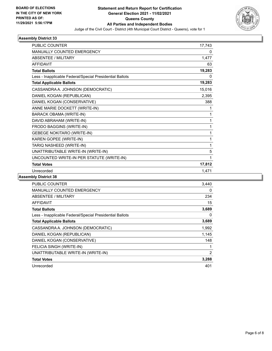

| PUBLIC COUNTER                                           | 17,743 |
|----------------------------------------------------------|--------|
| <b>MANUALLY COUNTED EMERGENCY</b>                        | 0      |
| ABSENTEE / MILITARY                                      | 1,477  |
| <b>AFFIDAVIT</b>                                         | 63     |
| <b>Total Ballots</b>                                     | 19,283 |
| Less - Inapplicable Federal/Special Presidential Ballots | 0      |
| <b>Total Applicable Ballots</b>                          | 19,283 |
| CASSANDRA A. JOHNSON (DEMOCRATIC)                        | 15,016 |
| DANIEL KOGAN (REPUBLICAN)                                | 2,395  |
| DANIEL KOGAN (CONSERVATIVE)                              | 388    |
| ANNE MARIE DOCKETT (WRITE-IN)                            | 1      |
| <b>BARACK OBAMA (WRITE-IN)</b>                           | 1      |
| DAVID ABRAHAM (WRITE-IN)                                 | 1      |
| FRODO BAGGINS (WRITE-IN)                                 | 1      |
| <b>GEBEGE NOKITARO (WRITE-IN)</b>                        | 1      |
| KAREN GOPEE (WRITE-IN)                                   | 1      |
| TARIQ NASHEED (WRITE-IN)                                 | 1      |
| UNATTRIBUTABLE WRITE-IN (WRITE-IN)                       | 5      |
| UNCOUNTED WRITE-IN PER STATUTE (WRITE-IN)                | 1      |
| <b>Total Votes</b>                                       | 17,812 |
| Unrecorded                                               | 1,471  |

| <b>PUBLIC COUNTER</b>                                    | 3,440 |
|----------------------------------------------------------|-------|
| <b>MANUALLY COUNTED EMERGENCY</b>                        | 0     |
| ABSENTEE / MILITARY                                      | 234   |
| AFFIDAVIT                                                | 15    |
| <b>Total Ballots</b>                                     | 3,689 |
| Less - Inapplicable Federal/Special Presidential Ballots | 0     |
| <b>Total Applicable Ballots</b>                          | 3,689 |
| CASSANDRA A. JOHNSON (DEMOCRATIC)                        | 1,992 |
| DANIEL KOGAN (REPUBLICAN)                                | 1,145 |
| DANIEL KOGAN (CONSERVATIVE)                              | 148   |
| FELICIA SINGH (WRITE-IN)                                 |       |
| UNATTRIBUTABLE WRITE-IN (WRITE-IN)                       | 2     |
| <b>Total Votes</b>                                       | 3,288 |
| Unrecorded                                               | 401   |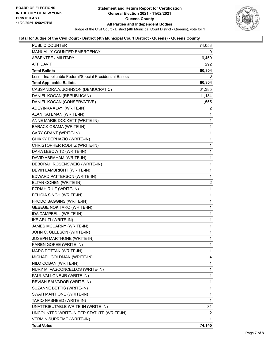

### **Total for Judge of the Civil Court - District (4th Municipal Court District - Queens) - Queens County**

| <b>PUBLIC COUNTER</b>                                    | 74,053                  |
|----------------------------------------------------------|-------------------------|
| MANUALLY COUNTED EMERGENCY                               | 0                       |
| <b>ABSENTEE / MILITARY</b>                               | 6,459                   |
| <b>AFFIDAVIT</b>                                         | 292                     |
| Total Ballots                                            | 80,804                  |
| Less - Inapplicable Federal/Special Presidential Ballots | 0                       |
| <b>Total Applicable Ballots</b>                          | 80,804                  |
| CASSANDRA A. JOHNSON (DEMOCRATIC)                        | 61,385                  |
| DANIEL KOGAN (REPUBLICAN)                                | 11,134                  |
| DANIEL KOGAN (CONSERVATIVE)                              | 1,555                   |
| ADEYINKA AJAYI (WRITE-IN)                                | 2                       |
| ALAN KATEMAN (WRITE-IN)                                  | 1                       |
| ANNE MARIE DOCKETT (WRITE-IN)                            | 1                       |
| <b>BARACK OBAMA (WRITE-IN)</b>                           | 1                       |
| CARY GRANT (WRITE-IN)                                    | 1                       |
| CHIKKY DEPHAZIO (WRITE-IN)                               | 1                       |
| CHRISTOPHER RODITZ (WRITE-IN)                            | $\mathbf 1$             |
| DARA LEBOWITZ (WRITE-IN)                                 | 1                       |
| DAVID ABRAHAM (WRITE-IN)                                 | 1                       |
| DEBORAH ROSENSWEIG (WRITE-IN)                            | 1                       |
| DEVIN LAMBRIGHT (WRITE-IN)                               | 1                       |
| EDWARD PATTERSON (WRITE-IN)                              | 1                       |
| ELTAN COHEN (WRITE-IN)                                   | $\overline{\mathbf{c}}$ |
| EZRIAH RUIZ (WRITE-IN)                                   | 1                       |
| FELICIA SINGH (WRITE-IN)                                 | 1                       |
| FRODO BAGGINS (WRITE-IN)                                 | 1                       |
| <b>GEBEGE NOKITARO (WRITE-IN)</b>                        | 1                       |
| IDA CAMPBELL (WRITE-IN)                                  | 1                       |
| IKE ARUTI (WRITE-IN)                                     | $\mathbf 1$             |
| JAMES MCCARNY (WRITE-IN)                                 | 1                       |
| JOHN C. GLEESON (WRITE-IN)                               | 1                       |
| JOSEPH MARTHONE (WRITE-IN)                               | $\mathbf{1}$            |
| KAREN GOPEE (WRITE-IN)                                   | 1                       |
| MARC POTTAK (WRITE-IN)                                   | 1                       |
| MICHAEL GOLDMAN (WRITE-IN)                               | 4                       |
| NILO COBAN (WRITE-IN)                                    | 1                       |
| NURY M. VASCONCELLOS (WRITE-IN)                          | 1                       |
| PAUL VALLONE JR (WRITE-IN)                               | 1                       |
| REVISH SALVADOR (WRITE-IN)                               | 1                       |
| SUZANNE BETTIS (WRITE-IN)                                | 1                       |
| SWATI MANTIONE (WRITE-IN)                                | 1                       |
| TARIQ NASHEED (WRITE-IN)                                 | 1                       |
| UNATTRIBUTABLE WRITE-IN (WRITE-IN)                       | 31                      |
| UNCOUNTED WRITE-IN PER STATUTE (WRITE-IN)                | 2                       |
| VERMIN SUPREME (WRITE-IN)                                | 1                       |
| <b>Total Votes</b>                                       | 74,145                  |
|                                                          |                         |